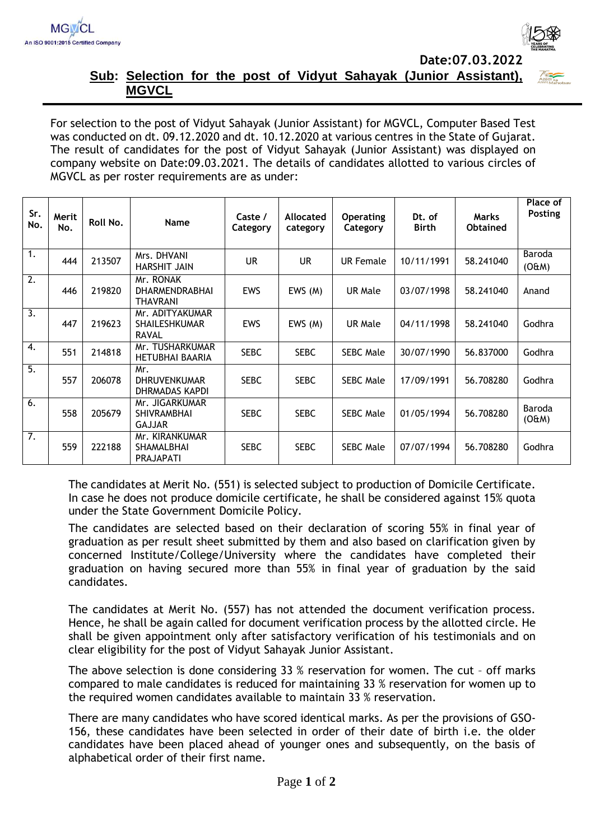**Date:07.03.2022**



## **Sub: Selection for the post of Vidyut Sahayak (Junior Assistant), MGVCL**

For selection to the post of Vidyut Sahayak (Junior Assistant) for MGVCL, Computer Based Test was conducted on dt. 09.12.2020 and dt. 10.12.2020 at various centres in the State of Gujarat. The result of candidates for the post of Vidyut Sahayak (Junior Assistant) was displayed on company website on Date:09.03.2021. The details of candidates allotted to various circles of MGVCL as per roster requirements are as under:

| Sr.<br>No.       | Merit<br>No. | Roll No. | Name                                                    | Caste /<br>Category | Allocated<br>category | <b>Operating</b><br>Category | Dt. of<br><b>Birth</b> | Marks<br><b>Obtained</b> | Place of<br>Posting |
|------------------|--------------|----------|---------------------------------------------------------|---------------------|-----------------------|------------------------------|------------------------|--------------------------|---------------------|
| 1.               | 444          | 213507   | Mrs. DHVANI<br><b>HARSHIT JAIN</b>                      | <b>UR</b>           | <b>UR</b>             | <b>UR Female</b>             | 10/11/1991             | 58.241040                | Baroda<br>(OEM)     |
| $\overline{2}$ . | 446          | 219820   | Mr. RONAK<br><b>DHARMENDRABHAI</b><br><b>THAVRANI</b>   | <b>EWS</b>          | EWS (M)               | <b>UR Male</b>               | 03/07/1998             | 58.241040                | Anand               |
| $\overline{3}$ . | 447          | 219623   | Mr. ADITYAKUMAR<br><b>SHAILESHKUMAR</b><br><b>RAVAL</b> | <b>EWS</b>          | EWS (M)               | UR Male                      | 04/11/1998             | 58.241040                | Godhra              |
| 4.               | 551          | 214818   | Mr. TUSHARKUMAR<br><b>HETUBHAI BAARIA</b>               | <b>SEBC</b>         | <b>SEBC</b>           | <b>SEBC Male</b>             | 30/07/1990             | 56.837000                | Godhra              |
| $\overline{5}$ . | 557          | 206078   | Mr.<br><b>DHRUVENKUMAR</b><br>DHRMADAS KAPDI            | <b>SEBC</b>         | <b>SEBC</b>           | <b>SEBC Male</b>             | 17/09/1991             | 56.708280                | Godhra              |
| 6.               | 558          | 205679   | Mr. JIGARKUMAR<br><b>SHIVRAMBHAI</b><br><b>GAJJAR</b>   | <b>SEBC</b>         | <b>SEBC</b>           | <b>SEBC Male</b>             | 01/05/1994             | 56.708280                | Baroda<br>(OEM)     |
| $\overline{7}$ . | 559          | 222188   | Mr. KIRANKUMAR<br><b>SHAMALBHAI</b><br><b>PRAJAPATI</b> | <b>SEBC</b>         | <b>SEBC</b>           | <b>SEBC Male</b>             | 07/07/1994             | 56.708280                | Godhra              |

The candidates at Merit No. (551) is selected subject to production of Domicile Certificate. In case he does not produce domicile certificate, he shall be considered against 15% quota under the State Government Domicile Policy.

The candidates are selected based on their declaration of scoring 55% in final year of graduation as per result sheet submitted by them and also based on clarification given by concerned Institute/College/University where the candidates have completed their graduation on having secured more than 55% in final year of graduation by the said candidates.

The candidates at Merit No. (557) has not attended the document verification process. Hence, he shall be again called for document verification process by the allotted circle. He shall be given appointment only after satisfactory verification of his testimonials and on clear eligibility for the post of Vidyut Sahayak Junior Assistant.

The above selection is done considering 33 % reservation for women. The cut – off marks compared to male candidates is reduced for maintaining 33 % reservation for women up to the required women candidates available to maintain 33 % reservation.

There are many candidates who have scored identical marks. As per the provisions of GSO-156, these candidates have been selected in order of their date of birth i.e. the older candidates have been placed ahead of younger ones and subsequently, on the basis of alphabetical order of their first name.